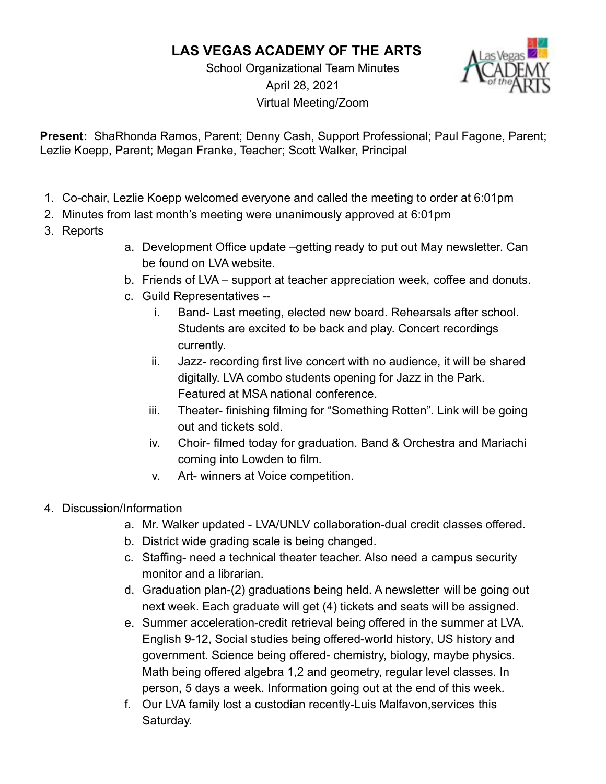## **LAS VEGAS ACADEMY OF THE ARTS**

School Organizational Team Minutes April 28, 2021 Virtual Meeting/Zoom



**Present:** ShaRhonda Ramos, Parent; Denny Cash, Support Professional; Paul Fagone, Parent; Lezlie Koepp, Parent; Megan Franke, Teacher; Scott Walker, Principal

- 1. Co-chair, Lezlie Koepp welcomed everyone and called the meeting to order at 6:01pm
- 2. Minutes from last month's meeting were unanimously approved at 6:01pm
- 3. Reports
- a. Development Office update –getting ready to put out May newsletter. Can be found on LVA website.
- b. Friends of LVA support at teacher appreciation week, coffee and donuts.
- c. Guild Representatives
	- i. Band- Last meeting, elected new board. Rehearsals after school. Students are excited to be back and play. Concert recordings currently.
	- ii. Jazz- recording first live concert with no audience, it will be shared digitally. LVA combo students opening for Jazz in the Park. Featured at MSA national conference.
	- iii. Theater- finishing filming for "Something Rotten". Link will be going out and tickets sold.
	- iv. Choir- filmed today for graduation. Band & Orchestra and Mariachi coming into Lowden to film.
	- v. Art- winners at Voice competition.
- 4. Discussion/Information
	- a. Mr. Walker updated LVA/UNLV collaboration-dual credit classes offered.
	- b. District wide grading scale is being changed.
	- c. Staffing- need a technical theater teacher. Also need a campus security monitor and a librarian.
	- d. Graduation plan-(2) graduations being held. A newsletter will be going out next week. Each graduate will get (4) tickets and seats will be assigned.
	- e. Summer acceleration-credit retrieval being offered in the summer at LVA. English 9-12, Social studies being offered-world history, US history and government. Science being offered- chemistry, biology, maybe physics. Math being offered algebra 1,2 and geometry, regular level classes. In person, 5 days a week. Information going out at the end of this week.
	- f. Our LVA family lost a custodian recently-Luis Malfavon,services this Saturday.